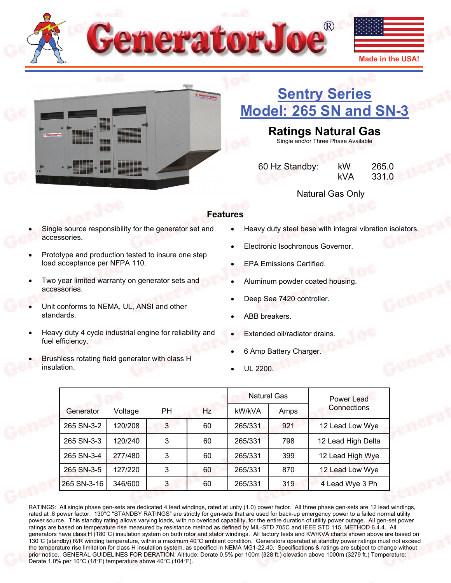



# **[Sentry Series](http://www.generatorjoe.net/product.asp?0=205&1=741&3=4371)  [Model: 265 SN and SN-3](http://www.generatorjoe.net/product.asp?0=205&1=741&3=4371)**

## **Ratings Natural Gas**

Single and/or Three Phase Available

 60 Hz Standby: kW 265.0 kVA 331.0

Natural Gas Only

## **Features**

- Single source responsibility for the generator set and accessories.
- Prototype and production tested to insure one step load acceptance per NFPA 110.
- Two year limited warranty on generator sets and accessories.
- Unit conforms to NEMA, UL, ANSI and other standards.
- Heavy duty 4 cycle industrial engine for reliability and fuel efficiency.
- Brushless rotating field generator with class H insulation.
- Heavy duty steel base with integral vibration isolators.
- Electronic Isochronous Governor.
- EPA Emissions Certified.
- Aluminum powder coated housing.
- Deep Sea 7420 controller.
- ABB breakers.
- Extended oil/radiator drains.
- 6 Amp Battery Charger.
- UL 2200.

|             |         |           |     |         | <b>Natural Gas</b> | Power Lead         |
|-------------|---------|-----------|-----|---------|--------------------|--------------------|
| Generator   | Voltage | <b>PH</b> | Hz. | kW/kVA  | Amps               | Connections        |
| 265 SN-3-2  | 120/208 | 3         | 60  | 265/331 | 921                | 12 Lead Low Wye    |
| 265 SN-3-3  | 120/240 | 3         | 60  | 265/331 | 798                | 12 Lead High Delta |
| 265 SN-3-4  | 277/480 | 3         | 60  | 265/331 | 399                | 12 Lead High Wye   |
| 265 SN-3-5  | 127/220 | 3         | 60  | 265/331 | 870                | 12 Lead Low Wye    |
| 265 SN-3-16 | 346/600 | 3         | 60  | 265/331 | 319                | 4 Lead Wye 3 Ph    |

RATINGS: All single phase gen-sets are dedicated 4 lead windings, rated at unity (1.0) power factor. All three phase gen-sets are 12 lead windings, rated at .8 power factor. 130°C "STANDBY RATINGS" are strictly for gen-sets that are used for back-up emergency power to a failed normal utility power source. This standby rating allows varying loads, with no overload capability, for the entire duration of utility power outage. All gen-set power ratings are based on temperature rise measured by resistance method as defined by MIL-STD 705C and IEEE STD 115, METHOD 6.4.4. All generators have class H (180°C) insulation system on both rotor and stator windings. All factory tests and KW/KVA charts shown above are based on 130°C (standby) R/R winding temperature, within a maximum 40°C ambient condition. Generators operated at standby power ratings must not exceed the temperature rise limitation for class H insulation system, as specified in NEMA MG1-22.40. Specifications & ratings are subject to change without prior notice.. GENERAL GUIDELINES FOR DERATION: Altitude: Derate 0.5% per 100m (328 ft.) elevation above 1000m (3279 ft.) Temperature: Derate 1.0% per 10°C (18°F) temperature above 40°C (104°F).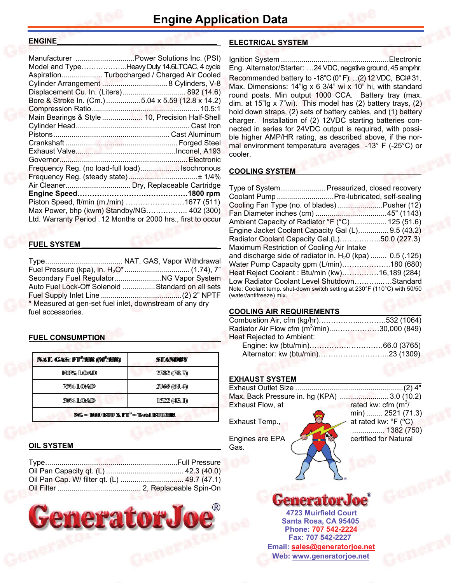#### **ENGINE**

| Manufacturer  Power Solutions Inc. (PSI)                      |  |
|---------------------------------------------------------------|--|
| Model and TypeHeavy Duty 14.6LTCAC, 4 cycle                   |  |
| Aspiration Turbocharged / Charged Air Cooled                  |  |
| Cylinder Arrangement  8 Cylinders, V-8                        |  |
| Displacement Cu. In. (Liters) 892 (14.6)                      |  |
| Bore & Stroke In. (Cm.)5.04 x 5.59 (12.8 x 14.2)              |  |
|                                                               |  |
| Main Bearings & Style  10, Precision Half-Shell               |  |
|                                                               |  |
|                                                               |  |
|                                                               |  |
|                                                               |  |
|                                                               |  |
| Frequency Reg. (no load-full load) Isochronous                |  |
|                                                               |  |
|                                                               |  |
|                                                               |  |
| Piston Speed, ft/min (m./min) 1677 (511)                      |  |
| Max Power, bhp (kwm) Standby/NG 402 (300)                     |  |
| Ltd. Warranty Period . 12 Months or 2000 hrs., first to occur |  |
|                                                               |  |

#### **FUEL SYSTEM \_\_\_\_\_\_\_\_\_\_\_\_\_\_\_\_\_\_\_\_\_\_\_\_\_\_\_\_\_\_\_\_\_**

Type ...................................... NAT. GAS, Vapor Withdrawal Fuel Pressure (kpa), in. H2O\* ................................ (1.74), 7" Secondary Fuel Regulator ....................... NG Vapor System Auto Fuel Lock-Off Solenoid ................ Standard on all sets Fuel Supply Inlet Line ........................................ (2) 2" NPTF \* Measured at gen-set fuel inlet, downstream of any dry fuel accessories.

#### **FUEL CONSUMPTION**

| <b>NAT. GAS: FT<sup>3</sup>/HIR (M<sup>3</sup>/HIR)</b> | <b>STANDBY</b>    |  |
|---------------------------------------------------------|-------------------|--|
| 1000% LOAD                                              | 277822 ((778.77)) |  |
| 7759% ILOAND                                            | 211668 ((611.44)) |  |
| 50% LOAD                                                | 115222(443.11)    |  |
| $NG = 10000$ BITU $X$ FT <sup>33</sup> = Total BITU/HIR |                   |  |

#### **OIL SYSTEM**



#### **ELECTRICAL SYSTEM \_\_\_\_\_\_\_\_\_\_\_\_\_\_\_\_\_\_\_\_\_\_\_\_\_\_**

Ignition System ..................................................... Electronic Eng. Alternator/Starter: …24 VDC, negative ground, 45 amp/hr. Recommended battery to -18°C (0° F): ...(2) 12 VDC, BC# 31, Max. Dimensions: 14"lg x 6 3/4" wi x 10" hi, with standard round posts. Min output 1000 CCA. Battery tray (max. dim. at 15"lg x 7"wi). This model has (2) battery trays, (2) hold down straps, (2) sets of battery cables, and (1) battery charger. Installation of (2) 12VDC starting batteries connected in series for 24VDC output is required, with possible higher AMP/HR rating, as described above, if the normal environment temperature averages -13° F (-25°C) or cooler.

#### **COOLING SYSTEM**

|                                           | Type of System Pressurized, closed recovery                              |
|-------------------------------------------|--------------------------------------------------------------------------|
|                                           | Coolant Pump  Pre-lubricated, self-sealing                               |
|                                           | Cooling Fan Type (no. of blades) Pusher (12)                             |
|                                           |                                                                          |
|                                           | Ambient Capacity of Radiator °F (°C) 125 (51.6)                          |
|                                           | Engine Jacket Coolant Capacity Gal (L) 9.5 (43.2)                        |
|                                           | Radiator Coolant Capacity Gal.(L)50.0 (227.3)                            |
| Maximum Restriction of Cooling Air Intake |                                                                          |
|                                           | and discharge side of radiator in. $H20$ (kpa)  0.5 (.125)               |
|                                           | Water Pump Capacity gpm (L/min)180 (680)                                 |
|                                           | Heat Reject Coolant: Btu/min (kw)16,189 (284)                            |
|                                           | Low Radiator Coolant Level ShutdownStandard                              |
|                                           | Note: Coolant temp. shut-down switch setting at 230°F (110°C) with 50/50 |
| (water/antifreeze) mix.                   |                                                                          |

#### **COOLING AIR REQUIREMENTS**

| Combustion Air, cfm (kg/hr)532 (1064)                   |  |
|---------------------------------------------------------|--|
| Radiator Air Flow cfm (m <sup>3</sup> /min)30,000 (849) |  |
| Heat Rejected to Ambient:                               |  |
|                                                         |  |
|                                                         |  |

#### **EXHAUST SYSTEM**

| Exhaust Outlet Size. | $(2)$ 4"                                      |
|----------------------|-----------------------------------------------|
|                      | Max. Back Pressure in. hg (KPA) 3.0 (10.2)    |
| Exhaust Flow, at     | rated kw: cfm $(m^3)$                         |
|                      | min)  2521 (71.3)                             |
| Exhaust Temp.,       | at rated kw: ${}^{\circ}$ F ( ${}^{\circ}$ C) |
|                      | 1382 (750)                                    |
| Engines are EPA      | certified for Natural                         |
| Gas.                 |                                               |
|                      |                                               |
|                      |                                               |
|                      |                                               |

## **GeneratorJoe**

**Santa Rosa, CA 95405 4723 Muirfield Court Fax: 707 542-2227 Phone: 707 542-2224 Web: [www.generatorjoe.net](http://www.generatorjoe.net) Email: [sales@generatorjoe.net](mailto:sales@generatorjoe.net?subject=Your%20products)**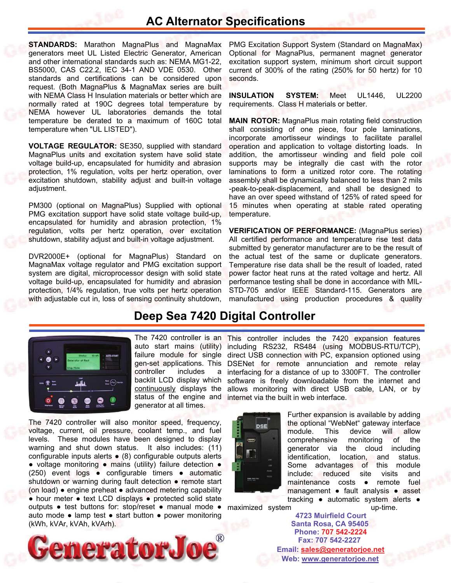## **AC Alternator Specifications**

**STANDARDS:** Marathon MagnaPlus and MagnaMax generators meet UL Listed Electric Generator, American and other international standards such as: NEMA MG1-22, BS5000, CAS C22.2, IEC 34-1 AND VDE 0530. Other standards and certifications can be considered upon request. (Both MagnaPlus & MagnaMax series are built with NEMA Class H Insulation materials or better which are normally rated at 190C degrees total temperature by NEMA however UL laboratories demands the total temperature be derated to a maximum of 160C total temperature when "UL LISTED").

**VOLTAGE REGULATOR:** SE350, supplied with standard MagnaPlus units and excitation system have solid state voltage build-up, encapsulated for humidity and abrasion protection, 1% regulation, volts per hertz operation, over excitation shutdown, stability adjust and built-in voltage adjustment.

PM300 (optional on MagnaPlus) Supplied with optional PMG excitation support have solid state voltage build-up, encapsulated for humidity and abrasion protection, 1% regulation, volts per hertz operation, over excitation shutdown, stability adjust and built-in voltage adjustment.

DVR2000E+ (optional for MagnaPlus) Standard on MagnaMax voltage regulator and PMG excitation support system are digital, microprocessor design with solid state voltage build-up, encapsulated for humidity and abrasion protection, 1/4% regulation, true volts per hertz operation with adjustable cut in, loss of sensing continuity shutdown,

PMG Excitation Support System (Standard on MagnaMax) Optional for MagnaPlus, permanent magnet generator excitation support system, minimum short circuit support current of 300% of the rating (250% for 50 hertz) for 10 seconds.

**INSULATION SYSTEM:** Meet UL1446, UL2200 requirements. Class H materials or better.

**MAIN ROTOR:** MagnaPlus main rotating field construction shall consisting of one piece, four pole laminations, incorporate amortisseur windings to facilitate parallel operation and application to voltage distorting loads. In addition, the amortisseur winding and field pole coil supports may be integrally die cast with the rotor laminations to form a unitized rotor core. The rotating assembly shall be dynamically balanced to less than 2 mils -peak-to-peak-displacement, and shall be designed to have an over speed withstand of 125% of rated speed for 15 minutes when operating at stable rated operating temperature.

**VERIFICATION OF PERFORMANCE:** (MagnaPlus series) All certified performance and temperature rise test data submitted by generator manufacturer are to be the result of the actual test of the same or duplicate generators. Temperature rise data shall be the result of loaded, rated power factor heat runs at the rated voltage and hertz. All performance testing shall be done in accordance with MIL-STD-705 and/or IEEE Standard-115. Generators are manufactured using production procedures & quality

## **Deep Sea 7420 Digital Controller**



auto start mains (utility) controller includes a backlit LCD display which continuously displays the status of the engine and generator at all times.

outputs • test buttons for: stop/reset • manual mode • maximized system examples well-time. The 7420 controller will also monitor speed, frequency, voltage, current, oil pressure, coolant temp., and fuel levels. These modules have been designed to display warning and shut down status. It also includes: (11) configurable inputs alerts ● (8) configurable outputs alerts ● voltage monitoring ● mains (utility) failure detection ● (250) event logs ● configurable timers ● automatic shutdown or warning during fault detection • remote start (on load) ● engine preheat ● advanced metering capability ● hour meter ● text LCD displays ● protected solid state auto mode ● lamp test ● start button ● power monitoring (kWh, kVAr, kVAh, kVArh).



The 7420 controller is an This controller includes the 7420 expansion features including RS232, RS484 (using MODBUS-RTU/TCP), failure module for single direct USB connection with PC, expansion optioned using gen-set applications. This DSENet for remote annunciation and remote relay interfacing for a distance of up to 3300FT. The controller software is freely downloadable from the internet and allows monitoring with direct USB cable, LAN, or by internet via the built in web interface.



Further expansion is available by adding the optional "WebNet" gateway interface module. This device will allow comprehensive monitoring of the generator via the cloud including identification, location, and status. Some advantages of this module include: reduced site visits and maintenance costs ● remote fuel management ● fault analysis ● asset tracking ● automatic system alerts ●

**Santa Rosa, CA 95405 4723 Muirfield Court Fax: 707 542-2227 Phone: 707 542-2224 Web: [www.generatorjoe.net](http://www.generatorjoe.net) Email: [sales@generatorjoe.net](mailto:sales@generatorjoe.net?subject=Your%20products)**